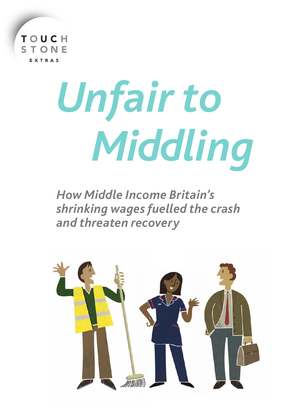

# *Unfair to Middling*

*How Middle Income Britain's shrinking wages fuelled the crash and threaten recovery*

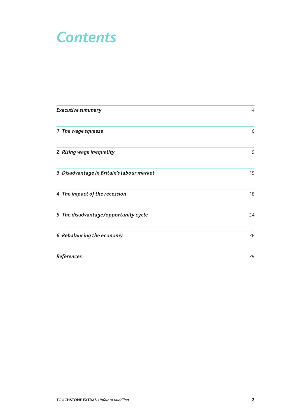### *Contents*

| <b>Executive summary</b>                  | $\overline{4}$ |
|-------------------------------------------|----------------|
| 1 The wage squeeze                        | 6              |
| 2 Rising wage inequality                  | 9              |
| 3 Disadvantage in Britain's labour market | 15             |
| 4 The impact of the recession             | 18             |
| 5 The disadvantage/opportunity cycle      | 24             |
| 6 Rebalancing the economy                 | 26             |
| <b>References</b>                         | 29             |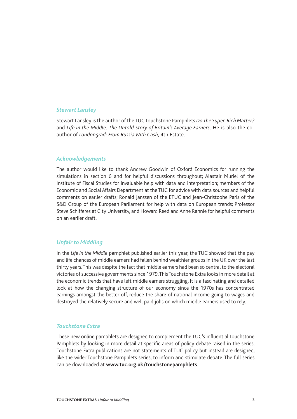#### *Stewart Lansley*

Stewart Lansley is the author of the TUC Touchstone Pamphlets *Do The Super-Rich Matter?* and *Life in the Middle: The Untold Story of Britain's Average Earners*. He is also the coauthor of *Londongrad: From Russia With Cash*, 4th Estate.

#### *Acknowledgements*

The author would like to thank Andrew Goodwin of Oxford Economics for running the simulations in section 6 and for helpful discussions throughout; Alastair Muriel of the Institute of Fiscal Studies for invaluable help with data and interpretation; members of the Economic and Social Affairs Department at the TUC for advice with data sources and helpful comments on earlier drafts; Ronald Janssen of the ETUC and Jean-Christophe Paris of the S&D Group of the European Parliament for help with data on European trends; Professor Steve Schifferes at City University, and Howard Reed and Anne Rannie for helpful comments on an earlier draft.

### *Unfair to Middling*

In the *Life in the Middle* pamphlet published earlier this year, the TUC showed that the pay and life chances of middle earners had fallen behind wealthier groups in the UK over the last thirty years. This was despite the fact that middle earners had been so central to the electoral victories of successive governments since 1979. This Touchstone Extra looks in more detail at the economic trends that have left middle earners struggling. It is a fascinating and detailed look at how the changing structure of our economy since the 1970s has concentrated earnings amongst the better-off, reduce the share of national income going to wages and destroyed the relatively secure and well paid jobs on which middle earners used to rely.

### *Touchstone Extra*

These new online pamphlets are designed to complement the TUC's influential Touchstone Pamphlets by looking in more detail at specific areas of policy debate raised in the series. Touchstone Extra publications are not statements of TUC policy but instead are designed, like the wider Touchstone Pamphlets series, to inform and stimulate debate. The full series can be downloaded at **www.tuc.org.uk/touchstonepamphlets**.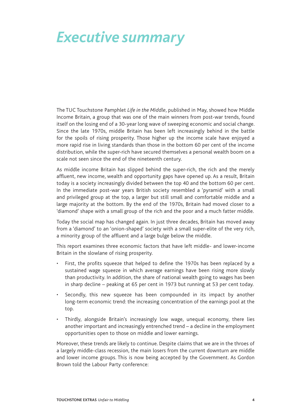### *Executive summary*

The TUC Touchstone Pamphlet *Life in the Middle*, published in May, showed how Middle Income Britain, a group that was one of the main winners from post-war trends, found itself on the losing end of a 30-year long wave of sweeping economic and social change. Since the late 1970s, middle Britain has been left increasingly behind in the battle for the spoils of rising prosperity. Those higher up the income scale have enjoyed a more rapid rise in living standards than those in the bottom 60 per cent of the income distribution, while the super-rich have secured themselves a personal wealth boom on a scale not seen since the end of the nineteenth century.

As middle income Britain has slipped behind the super-rich, the rich and the merely affluent, new income, wealth and opportunity gaps have opened up. As a result, Britain today is a society increasingly divided between the top 40 and the bottom 60 per cent. In the immediate post-war years British society resembled a 'pyramid' with a small and privileged group at the top, a larger but still small and comfortable middle and a large majority at the bottom. By the end of the 1970s, Britain had moved closer to a 'diamond' shape with a small group of the rich and the poor and a much fatter middle.

Today the social map has changed again. In just three decades, Britain has moved away from a 'diamond' to an 'onion-shaped' society with a small super-elite of the very rich, a minority group of the affluent and a large bulge below the middle.

This report examines three economic factors that have left middle- and lower-income Britain in the slowlane of rising prosperity.

- First, the profits squeeze that helped to define the 1970s has been replaced by a sustained wage squeeze in which average earnings have been rising more slowly than productivity. In addition, the share of national wealth going to wages has been in sharp decline – peaking at 65 per cent in 1973 but running at 53 per cent today.
- Secondly, this new squeeze has been compounded in its impact by another long-term economic trend: the increasing concentration of the earnings pool at the top.
- Thirdly, alongside Britain's increasingly low wage, unequal economy, there lies another important and increasingly entrenched trend – a decline in the employment opportunities open to those on middle and lower earnings.

Moreover, these trends are likely to continue. Despite claims that we are in the throes of a largely middle-class recession, the main losers from the current downturn are middle and lower income groups. This is now being accepted by the Government. As Gordon Brown told the Labour Party conference: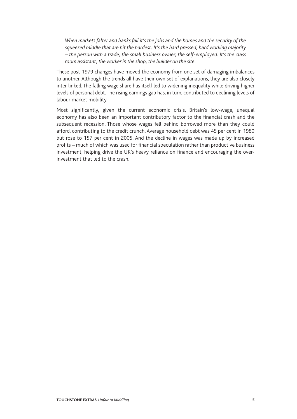*When markets falter and banks fail it's the jobs and the homes and the security of the squeezed middle that are hit the hardest. It's the hard pressed, hard working majority – the person with a trade, the small business owner, the self-employed. It's the class room assistant, the worker in the shop, the builder on the site.*

These post-1979 changes have moved the economy from one set of damaging imbalances to another. Although the trends all have their own set of explanations, they are also closely inter-linked. The falling wage share has itself led to widening inequality while driving higher levels of personal debt. The rising earnings gap has, in turn, contributed to declining levels of labour market mobility.

Most significantly, given the current economic crisis, Britain's low-wage, unequal economy has also been an important contributory factor to the financial crash and the subsequent recession. Those whose wages fell behind borrowed more than they could afford, contributing to the credit crunch. Average household debt was 45 per cent in 1980 but rose to 157 per cent in 2005. And the decline in wages was made up by increased profits – much of which was used for financial speculation rather than productive business investment, helping drive the UK's heavy reliance on finance and encouraging the overinvestment that led to the crash.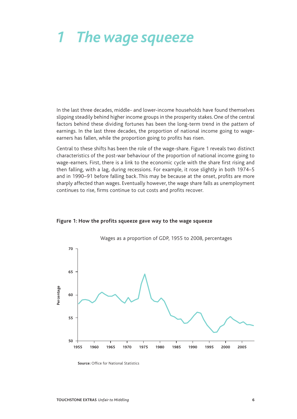# *1 The wage squeeze*

In the last three decades, middle- and lower-income households have found themselves slipping steadily behind higher income groups in the prosperity stakes. One of the central factors behind these dividing fortunes has been the long-term trend in the pattern of earnings. In the last three decades, the proportion of national income going to wageearners has fallen, while the proportion going to profits has risen.

Central to these shifts has been the role of the wage-share. Figure 1 reveals two distinct characteristics of the post-war behaviour of the proportion of national income going to wage-earners. First, there is a link to the economic cycle with the share first rising and then falling, with a lag, during recessions. For example, it rose slightly in both 1974–5 and in 1990–91 before falling back. This may be because at the onset, profits are more sharply affected than wages. Eventually however, the wage share falls as unemployment continues to rise, firms continue to cut costs and profits recover.



#### **Figure 1: How the profits squeeze gave way to the wage squeeze**

**Source:** Office for National Statistics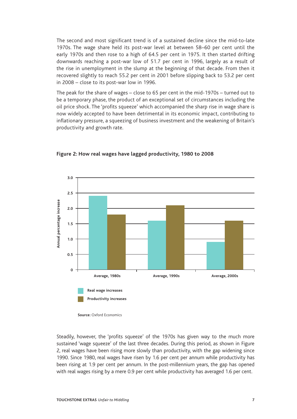The second and most significant trend is of a sustained decline since the mid-to-late 1970s. The wage share held its post-war level at between 58–60 per cent until the early 1970s and then rose to a high of 64.5 per cent in 1975. It then started drifting downwards reaching a post-war low of 51.7 per cent in 1996, largely as a result of the rise in unemployment in the slump at the beginning of that decade. From then it recovered slightly to reach 55.2 per cent in 2001 before slipping back to 53.2 per cent in 2008 – close to its post-war low in 1996.

The peak for the share of wages – close to 65 per cent in the mid-1970s – turned out to be a temporary phase, the product of an exceptional set of circumstances including the oil price shock. The 'profits squeeze' which accompanied the sharp rise in wage share is now widely accepted to have been detrimental in its economic impact, contributing to inflationary pressure, a squeezing of business investment and the weakening of Britain's productivity and growth rate.



**Figure 2: How real wages have lagged productivity, 1980 to 2008**

Steadily, however, the 'profits squeeze' of the 1970s has given way to the much more sustained 'wage squeeze' of the last three decades. During this period, as shown in Figure 2, real wages have been rising more slowly than productivity, with the gap widening since 1990. Since 1980, real wages have risen by 1.6 per cent per annum while productivity has been rising at 1.9 per cent per annum. In the post-millennium years, the gap has opened with real wages rising by a mere 0.9 per cent while productivity has averaged 1.6 per cent.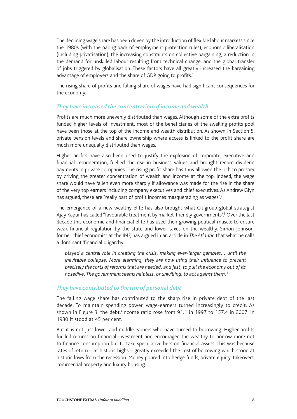The declining wage share has been driven by the introduction of flexible labour markets since the 1980s (with the paring back of employment protection rules); economic liberalisation (including privatisation); the increasing constraints on collective bargaining; a reduction in the demand for unskilled labour resulting from technical change; and the global transfer of jobs triggered by globalisation. These factors have all greatly increased the bargaining advantage of employers and the share of GDP going to profits.<sup>1</sup>

The rising share of profits and falling share of wages have had significant consequences for the economy.

### *They have increased the concentration of income and wealth*

Profits are much more unevenly distributed than wages. Although some of the extra profits funded higher levels of investment, most of the beneficiaries of the swelling profits pool have been those at the top of the income and wealth distribution. As shown in Section 5, private pension levels and share ownership where access is linked to the profit share are much more unequally distributed than wages.

Higher profits have also been used to justify the explosion of corporate, executive and financial remuneration, fuelled the rise in business values and brought record dividend payments in private companies. The rising profit share has thus allowed the rich to prosper by driving the greater concentration of wealth and income at the top. Indeed, the wage share would have fallen even more sharply if allowance was made for the rise in the share of the very top earners including company executives and chief executives. As Andrew Glyn has argued, these are "really part of profit incomes masquerading as wages'.<sup>2</sup>

The emergence of a new wealthy elite has also brought what Citigroup global strategist Ajay Kapur has called "favourable treatment by market-friendly governments'.<sup>3</sup> Over the last decade this economic and financial elite has used their growing political muscle to ensure weak financial regulation by the state and lower taxes on the wealthy. Simon Johnson, former chief economist at the IMF, has argued in an article in *The Atlantic* that what he calls a dominant 'financial oligarchy':

*played a central role in creating the crisis, making ever-larger gambles… until the inevitable collapse. More alarming, they are now using their influence to prevent precisely the sorts of reforms that are needed, and fast, to pull the economy out of its nosedive. The government seems helpless, or unwilling, to act against them.*<sup>4</sup> 

### *They have contributed to the rise of personal debt*

The falling wage share has contributed to the sharp rise in private debt of the last decade. To maintain spending power, wage-earners turned increasingly to credit. As shown in Figure 3, the debt/income ratio rose from 91.1 in 1997 to 157.4 in 2007. In 1980 it stood at 45 per cent.

But it is not just lower and middle earners who have turned to borrowing. Higher profits fuelled returns on financial investment and encouraged the wealthy to borrow more not to finance consumption but to take speculative bets on financial assets. This was because rates of return – at historic highs – greatly exceeded the cost of borrowing which stood at historic lows from the recession. Money poured into hedge funds, private equity, takeovers, commercial property and luxury housing.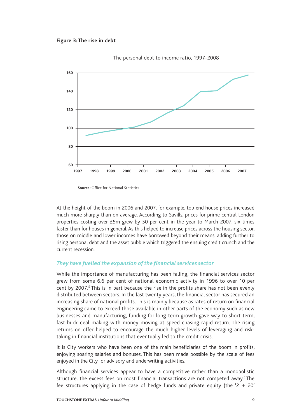





**Source:** Office for National Statistics

At the height of the boom in 2006 and 2007, for example, top end house prices increased much more sharply than on average. According to Savills, prices for prime central London properties costing over £5m grew by 50 per cent in the year to March 2007, six times faster than for houses in general. As this helped to increase prices across the housing sector, those on middle and lower incomes have borrowed beyond their means, adding further to rising personal debt and the asset bubble which triggered the ensuing credit crunch and the current recession.

### *They have fuelled the expansion of the financial services sector*

While the importance of manufacturing has been falling, the financial services sector grew from some 6.6 per cent of national economic activity in 1996 to over 10 per cent by 2007.<sup>5</sup> This is in part because the rise in the profits share has not been evenly distributed between sectors. In the last twenty years, the financial sector has secured an increasing share of national profits. This is mainly because as rates of return on financial engineering came to exceed those available in other parts of the economy such as new businesses and manufacturing, funding for long-term growth gave way to short-term, fast-buck deal making with money moving at speed chasing rapid return. The rising returns on offer helped to encourage the much higher levels of leveraging and risktaking in financial institutions that eventually led to the credit crisis.

It is City workers who have been one of the main beneficiaries of the boom in profits, enjoying soaring salaries and bonuses. This has been made possible by the scale of fees enjoyed in the City for advisory and underwriting activities.

Although financial services appear to have a competitive rather than a monopolistic structure, the excess fees on most financial transactions are not competed away.<sup>6</sup> The fee structures applying in the case of hedge funds and private equity (the '2 + 20'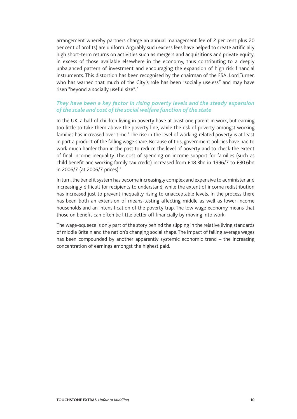arrangement whereby partners charge an annual management fee of 2 per cent plus 20 per cent of profits) are uniform. Arguably such excess fees have helped to create artificially high short-term returns on activities such as mergers and acquisitions and private equity, in excess of those available elsewhere in the economy, thus contributing to a deeply unbalanced pattern of investment and encouraging the expansion of high risk financial instruments. This distortion has been recognised by the chairman of the FSA, Lord Turner, who has warned that much of the City's role has been "socially useless" and may have risen "beyond a socially useful size".<sup>7</sup>

### *They have been a key factor in rising poverty levels and the steady expansion of the scale and cost of the social welfare function of the state*

In the UK, a half of children living in poverty have at least one parent in work, but earning too little to take them above the poverty line, while the risk of poverty amongst working families has increased over time.<sup>8</sup> The rise in the level of working-related poverty is at least in part a product of the falling wage share. Because of this, government policies have had to work much harder than in the past to reduce the level of poverty and to check the extent of final income inequality. The cost of spending on income support for families (such as child benefit and working family tax credit) increased from £18.3bn in 1996/7 to £30.6bn in 2006/7 (at 2006/7 prices).<sup>9</sup>

In turn, the benefit system has become increasingly complex and expensive to administer and increasingly difficult for recipients to understand, while the extent of income redistribution has increased just to prevent inequality rising to unacceptable levels. In the process there has been both an extension of means-testing affecting middle as well as lower income households and an intensification of the poverty trap. The low wage economy means that those on benefit can often be little better off financially by moving into work.

The wage-squeeze is only part of the story behind the slipping in the relative living standards of middle Britain and the nation's changing social shape. The impact of falling average wages has been compounded by another apparently systemic economic trend – the increasing concentration of earnings amongst the highest paid.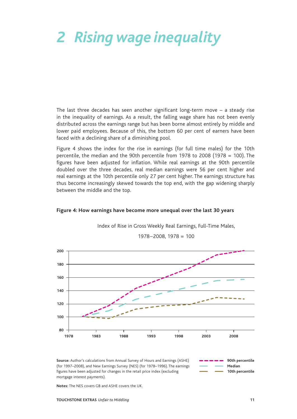# *2 Rising wage inequality*

The last three decades has seen another significant long-term move – a steady rise in the inequality of earnings. As a result, the falling wage share has not been evenly distributed across the earnings range but has been borne almost entirely by middle and lower paid employees. Because of this, the bottom 60 per cent of earners have been faced with a declining share of a diminishing pool.

Figure 4 shows the index for the rise in earnings (for full time males) for the 10th percentile, the median and the 90th percentile from 1978 to 2008 (1978 = 100). The figures have been adjusted for inflation. While real earnings at the 90th percentile doubled over the three decades, real median earnings were 56 per cent higher and real earnings at the 10th percentile only 27 per cent higher. The earnings structure has thus become increasingly skewed towards the top end, with the gap widening sharply between the middle and the top.

#### **Figure 4: How earnings have become more unequal over the last 30 years**



Index of Rise in Gross Weekly Real Earnings, Full-Time Males,

1978–2008, 1978 = 100

**Source:** Author's calculations from Annual Survey of Hours and Earnings (ASHE) (for 1997–2008), and New Earnings Survey (NES) (for 1978–1996). The earnings figures have been adjusted for changes in the retail price index (excluding mortgage interest payments).



**Notes:** The NES covers GB and ASHE covers the UK.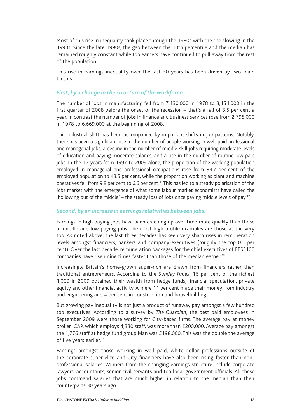Most of this rise in inequality took place through the 1980s with the rise slowing in the 1990s. Since the late 1990s, the gap between the 10th percentile and the median has remained roughly constant while top earners have continued to pull away from the rest of the population.

This rise in earnings inequality over the last 30 years has been driven by two main factors.

### *First, by a change in the structure of the workforce.*

The number of jobs in manufacturing fell from 7,130,000 in 1978 to 3,154,000 in the first quarter of 2008 before the onset of the recession – that's a fall of 3.5 per cent a year. In contrast the number of jobs in finance and business services rose from 2,795,000 in 1978 to 6,669,000 at the beginning of 2008.10

This industrial shift has been accompanied by important shifts in job patterns. Notably, there has been a significant rise in the number of people working in well-paid professional and managerial jobs; a decline in the number of middle-skill jobs requiring moderate levels of education and paying moderate salaries; and a rise in the number of routine low paid jobs. In the 12 years from 1997 to 2009 alone, the proportion of the working population employed in managerial and professional occupations rose from 34.7 per cent of the employed population to 43.5 per cent, while the proportion working as plant and machine operatives fell from 9.8 per cent to 6.6 per cent.<sup>11</sup> This has led to a steady polarisation of the jobs market with the emergence of what some labour market economists have called the 'hollowing out of the middle' – the steady loss of jobs once paying middle levels of pay.<sup>12</sup>

### *Second, by an increase in earnings relativities between jobs.*

Earnings in high paying jobs have been creeping up over time more quickly than those in middle and low paying jobs. The most high profile examples are those at the very top. As noted above, the last three decades has seen very sharp rises in remuneration levels amongst financiers, bankers and company executives (roughly the top 0.1 per cent). Over the last decade, remuneration packages for the chief executives of FTSE100 companies have risen nine times faster than those of the median earner.<sup>13</sup>

Increasingly Britain's home-grown super-rich are drawn from financiers rather than traditional entrepreneurs. According to the *Sunday Times*, 16 per cent of the richest 1,000 in 2009 obtained their wealth from hedge funds, financial speculation, private equity and other financial activity. A mere 11 per cent made their money from industry and engineering and 4 per cent in construction and housebuilding.

But growing pay inequality is not just a product of runaway pay amongst a few hundred top executives. According to a survey by *The Guardian*, the best paid employees in September 2009 were those working for City-based firms. The average pay at money broker ICAP, which employs 4,330 staff, was more than £200,000. Average pay amongst the 1,776 staff at hedge fund group Man was £198,000. This was the double the average of five years earlier.<sup>14</sup>

Earnings amongst those working in well paid, white collar professions outside of the corporate super-elite and City financiers have also been rising faster than nonprofessional salaries. Winners from the changing earnings structure include corporate lawyers, accountants, senior civil servants and top local government officials. All these jobs command salaries that are much higher in relation to the median than their counterparts 30 years ago.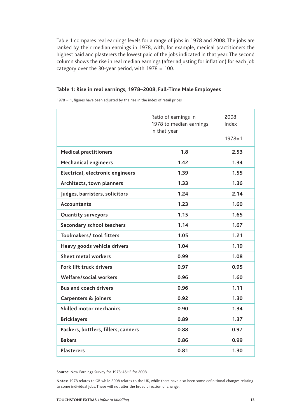Table 1 compares real earnings levels for a range of jobs in 1978 and 2008. The jobs are ranked by their median earnings in 1978, with, for example, medical practitioners the highest paid and plasterers the lowest paid of the jobs indicated in that year. The second column shows the rise in real median earnings (after adjusting for inflation) for each job category over the 30-year period, with 1978 = 100.

#### **Table 1: Rise in real earnings, 1978–2008, Full-Time Male Employees**

1978 = 1, figures have been adjusted by the rise in the index of retail prices

|                                     | Ratio of earnings in<br>1978 to median earnings<br>in that year | 2008<br>Index<br>$1978 = 1$ |
|-------------------------------------|-----------------------------------------------------------------|-----------------------------|
| <b>Medical practitioners</b>        | 1.8                                                             | 2.53                        |
| <b>Mechanical engineers</b>         | 1.42                                                            | 1.34                        |
| Electrical, electronic engineers    | 1.39                                                            | 1.55                        |
| Architects, town planners           | 1.33                                                            | 1.36                        |
| Judges, barristers, solicitors      | 1.24                                                            | 2.14                        |
| <b>Accountants</b>                  | 1.23                                                            | 1.60                        |
| <b>Quantity surveyors</b>           | 1.15                                                            | 1.65                        |
| Secondary school teachers           | 1.14                                                            | 1.67                        |
| Toolmakers/ tool fitters            | 1.05                                                            | 1.21                        |
| Heavy goods vehicle drivers         | 1.04                                                            | 1.19                        |
| <b>Sheet metal workers</b>          | 0.99                                                            | 1.08                        |
| Fork lift truck drivers             | 0.97                                                            | 0.95                        |
| Welfare/social workers              | 0.96                                                            | 1.60                        |
| <b>Bus and coach drivers</b>        | 0.96                                                            | 1.11                        |
| <b>Carpenters &amp; joiners</b>     | 0.92                                                            | 1.30                        |
| <b>Skilled motor mechanics</b>      | 0.90                                                            | 1.34                        |
| <b>Bricklayers</b>                  | 0.89                                                            | 1.37                        |
| Packers, bottlers, fillers, canners | 0.88                                                            | 0.97                        |
| <b>Bakers</b>                       | 0.86                                                            | 0.99                        |
| <b>Plasterers</b>                   | 0.81                                                            | 1.30                        |

**Source:** New Earnings Survey for 1978; ASHE for 2008.

**Notes:** 1978 relates to GB while 2008 relates to the UK, while there have also been some definitional changes relating to some individual jobs. These will not alter the broad direction of change.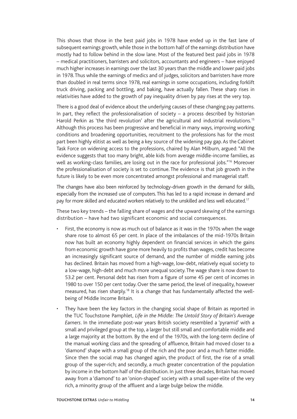This shows that those in the best paid jobs in 1978 have ended up in the fast lane of subsequent earnings growth, while those in the bottom half of the earnings distribution have mostly had to follow behind in the slow lane. Most of the featured best paid jobs in 1978 – medical practitioners, barristers and solicitors, accountants and engineers – have enjoyed much higher increases in earnings over the last 30 years than the middle and lower paid jobs in 1978. Thus while the earnings of medics and of judges, solicitors and barristers have more than doubled in real terms since 1978, real earnings in some occupations, including forklift truck driving, packing and bottling, and baking, have actually fallen. These sharp rises in relativities have added to the growth of pay inequality driven by pay rises at the very top.

There is a good deal of evidence about the underlying causes of these changing pay patterns. In part, they reflect the professionalisation of society – a process described by historian Harold Perkin as 'the third revolution' after the agricultural and industrial revolutions.<sup>15</sup> Although this process has been progressive and beneficial in many ways, improving working conditions and broadening opportunities, recruitment to the professions has for the most part been highly elitist as well as being a key source of the widening pay gap. As the Cabinet Task Force on widening access to the professions, chaired by Alan Milburn, argued: "All the evidence suggests that too many bright, able kids from average middle-income families, as well as working-class families, are losing out in the race for professional jobs."<sup>16</sup> Moreover the professionalisation of society is set to continue. The evidence is that job growth in the future is likely to be even more concentrated amongst professional and managerial staff.

The changes have also been reinforced by technology-driven growth in the demand for skills, especially from the increased use of computers. This has led to a rapid increase in demand and pay for more skilled and educated workers relatively to the unskilled and less well educated.<sup>17</sup>

These two key trends – the falling share of wages and the upward skewing of the earnings distribution – have had two significant economic and social consequences.

- First, the economy is now as much out of balance as it was in the 1970s when the wage share rose to almost 65 per cent. In place of the imbalances of the mid-1970s Britain now has built an economy highly dependent on financial services in which the gains from economic growth have gone more heavily to profits than wages, credit has become an increasingly significant source of demand, and the number of middle earning jobs has declined. Britain has moved from a high-wage, low-debt, relatively equal society to a low-wage, high-debt and much more unequal society. The wage share is now down to 53.2 per cent. Personal debt has risen from a figure of some 45 per cent of incomes in 1980 to over 150 per cent today. Over the same period, the level of inequality, however measured, has risen sharply.18 It is a change that has fundamentally affected the wellbeing of Middle Income Britain.
- They have been the key factors in the changing social shape of Britain as reported in the TUC Touchstone Pamphlet, *Life in the Middle: The Untold Story of Britain's Average Earners*. In the immediate post-war years British society resembled a 'pyramid' with a small and privileged group at the top, a larger but still small and comfortable middle and a large majority at the bottom. By the end of the 1970s, with the long-term decline of the manual working class and the spreading of affluence, Britain had moved closer to a 'diamond' shape with a small group of the rich and the poor and a much fatter middle. Since then the social map has changed again, the product of first, the rise of a small group of the super-rich; and secondly, a much greater concentration of the population by income in the bottom half of the distribution. In just three decades, Britain has moved away from a 'diamond' to an 'onion-shaped' society with a small super-elite of the very rich, a minority group of the affluent and a large bulge below the middle.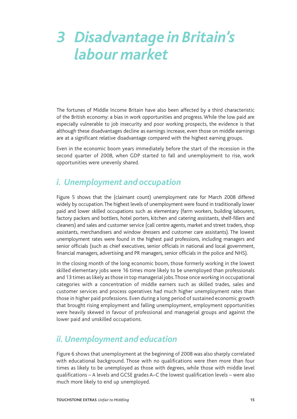### *3 Disadvantage in Britain's labour market*

The fortunes of Middle Income Britain have also been affected by a third characteristic of the British economy: a bias in work opportunities and progress. While the low paid are especially vulnerable to job insecurity and poor working prospects, the evidence is that although these disadvantages decline as earnings increase, even those on middle earnings are at a significant relative disadvantage compared with the highest earning groups.

Even in the economic boom years immediately before the start of the recession in the second quarter of 2008, when GDP started to fall and unemployment to rise, work opportunities were unevenly shared.

### *i. Unemployment and occupation*

Figure 5 shows that the (claimant count) unemployment rate for March 2008 differed widely by occupation. The highest levels of unemployment were found in traditionally lower paid and lower skilled occupations such as elementary (farm workers, building labourers, factory packers and bottlers, hotel porters, kitchen and catering assistants, shelf-fillers and cleaners) and sales and customer service (call centre agents, market and street traders, shop assistants, merchandisers and window dressers and customer care assistants). The lowest unemployment rates were found in the highest paid professions, including managers and senior officials (such as chief executives, senior officials in national and local government, financial managers, advertising and PR managers, senior officials in the police and NHS).

In the closing month of the long economic boom, those formerly working in the lowest skilled elementary jobs were 16 times more likely to be unemployed than professionals and 13 times as likely as those in top managerial jobs. Those once working in occupational categories with a concentration of middle earners such as skilled trades, sales and customer services and process operatives had much higher unemployment rates than those in higher paid professions. Even during a long period of sustained economic growth that brought rising employment and falling unemployment, employment opportunities were heavily skewed in favour of professional and managerial groups and against the lower paid and unskilled occupations.

### *ii. Unemployment and education*

Figure 6 shows that unemployment at the beginning of 2008 was also sharply correlated with educational background. Those with no qualifications were then more than four times as likely to be unemployed as those with degrees, while those with middle level qualifications – A levels and GCSE grades A–C the lowest qualification levels – were also much more likely to end up unemployed.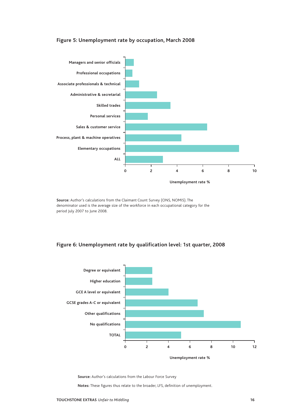

#### **Figure 5: Unemployment rate by occupation, March 2008**

**Source:** Author's calculations from the Claimant Count Survey (ONS, NOMIS). The denominator used is the average size of the workforce in each occupational category for the period July 2007 to June 2008.

#### **Figure 6: Unemployment rate by qualification level: 1st quarter, 2008**



**Source:** Author's calculations from the Labour Force Survey

**Notes:** These figures thus relate to the broader, LFS, definition of unemployment.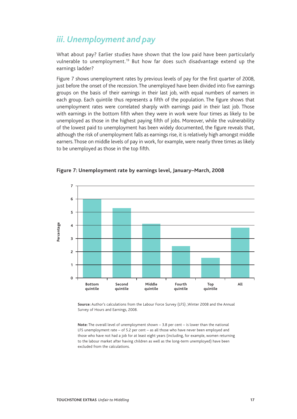### *iii. Unemployment and pay*

What about pay? Earlier studies have shown that the low paid have been particularly vulnerable to unemployment.<sup>19</sup> But how far does such disadvantage extend up the earnings ladder?

Figure 7 shows unemployment rates by previous levels of pay for the first quarter of 2008, just before the onset of the recession. The unemployed have been divided into five earnings groups on the basis of their earnings in their last job, with equal numbers of earners in each group. Each quintile thus represents a fifth of the population. The figure shows that unemployment rates were correlated sharply with earnings paid in their last job. Those with earnings in the bottom fifth when they were in work were four times as likely to be unemployed as those in the highest paying fifth of jobs. Moreover, while the vulnerability of the lowest paid to unemployment has been widely documented, the figure reveals that, although the risk of unemployment falls as earnings rise, it is relatively high amongst middle earners. Those on middle levels of pay in work, for example, were nearly three times as likely to be unemployed as those in the top fifth.



**Figure 7: Unemployment rate by earnings level, January–March, 2008**

**Source:** Author's calculations from the Labour Force Survey (LFS) ,Winter 2008 and the Annual Survey of Hours and Earnings, 2008.

**Note:** The overall level of unemployment shown – 3.8 per cent – is lower than the national LFS unemployment rate – of 5.2 per cent – as all those who have never been employed and those who have not had a job for at least eight years (including, for example, women returning to the labour market after having children as well as the long-term unemployed) have been excluded from the calculations.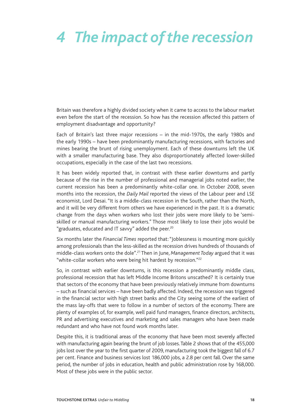# *4 The impact of the recession*

Britain was therefore a highly divided society when it came to access to the labour market even before the start of the recession. So how has the recession affected this pattern of employment disadvantage and opportunity?

Each of Britain's last three major recessions – in the mid-1970s, the early 1980s and the early 1990s – have been predominantly manufacturing recessions, with factories and mines bearing the brunt of rising unemployment. Each of these downturns left the UK with a smaller manufacturing base. They also disproportionately affected lower-skilled occupations, especially in the case of the last two recessions.

It has been widely reported that, in contrast with these earlier downturns and partly because of the rise in the number of professional and managerial jobs noted earlier, the current recession has been a predominantly white-collar one. In October 2008, seven months into the recession, the *Daily Mail* reported the views of the Labour peer and LSE economist, Lord Desai. "It is a middle-class recession in the South, rather than the North, and it will be very different from others we have experienced in the past. It is a dramatic change from the days when workers who lost their jobs were more likely to be 'semiskilled or manual manufacturing workers." Those most likely to lose their jobs would be "graduates, educated and IT savvy" added the peer.<sup>20</sup>

Six months later the *Financial Times* reported that: "Joblessness is mounting more quickly among professionals than the less-skilled as the recession drives hundreds of thousands of middle-class workers onto the dole".21 Then in June, *Management Today* argued that it was "white-collar workers who were being hit hardest by recession."<sup>22</sup>

So, in contrast with earlier downturns, is this recession a predominantly middle class, professional recession that has left Middle Income Britons unscathed? It is certainly true that sectors of the economy that have been previously relatively immune from downturns – such as financial services – have been badly affected. Indeed, the recession was triggered in the financial sector with high street banks and the City seeing some of the earliest of the mass lay-offs that were to follow in a number of sectors of the economy. There are plenty of examples of, for example, well paid fund managers, finance directors, architects, PR and advertising executives and marketing and sales managers who have been made redundant and who have not found work months later.

Despite this, it is traditional areas of the economy that have been most severely affected with manufacturing again bearing the brunt of job losses. Table 2 shows that of the 455,000 jobs lost over the year to the first quarter of 2009, manufacturing took the biggest fall of 6.7 per cent. Finance and business services lost 186,000 jobs, a 2.8 per cent fall. Over the same period, the number of jobs in education, health and public administration rose by 168,000. Most of these jobs were in the public sector.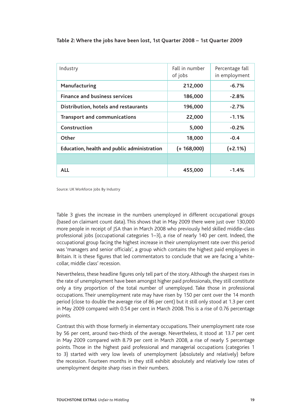| Industry                                           | Fall in number<br>of jobs | Percentage fall<br>in employment |
|----------------------------------------------------|---------------------------|----------------------------------|
| Manufacturing                                      | 212,000                   | $-6.7%$                          |
| <b>Finance and business services</b>               | 186,000                   | $-2.8%$                          |
| Distribution, hotels and restaurants               | 196,000                   | $-2.7%$                          |
| <b>Transport and communications</b>                | 22,000                    | $-1.1%$                          |
| Construction                                       | 5,000                     | $-0.2%$                          |
| Other                                              | 18,000                    | $-0.4$                           |
| <b>Education, health and public administration</b> | $(+ 168,000)$             | $(+2.1%)$                        |
|                                                    |                           |                                  |
| <b>ALL</b>                                         | 455,000                   | $-1.4%$                          |

Source: UK Workforce Jobs By Industry

Table 3 gives the increase in the numbers unemployed in different occupational groups (based on claimant count data). This shows that in May 2009 there were just over 130,000 more people in receipt of JSA than in March 2008 who previously held skilled middle-class professional jobs (occupational categories 1–3), a rise of nearly 140 per cent. Indeed, the occupational group facing the highest increase in their unemployment rate over this period was 'managers and senior officials', a group which contains the highest paid employees in Britain. It is these figures that led commentators to conclude that we are facing a 'whitecollar, middle class' recession.

Nevertheless, these headline figures only tell part of the story. Although the sharpest rises in the rate of unemployment have been amongst higher paid professionals, they still constitute only a tiny proportion of the total number of unemployed. Take those in professional occupations. Their unemployment rate may have risen by 150 per cent over the 14 month period (close to double the average rise of 86 per cent) but it still only stood at 1.3 per cent in May 2009 compared with 0.54 per cent in March 2008. This is a rise of 0.76 percentage points.

Contrast this with those formerly in elementary occupations. Their unemployment rate rose by 56 per cent, around two-thirds of the average. Nevertheless, it stood at 13.7 per cent in May 2009 compared with 8.79 per cent in March 2008, a rise of nearly 5 percentage points. Those in the highest paid professional and managerial occupations (categories 1 to 3) started with very low levels of unemployment (absolutely and relatively) before the recession. Fourteen months in they still exhibit absolutely and relatively low rates of unemployment despite sharp rises in their numbers.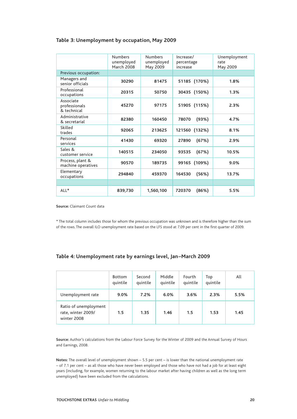#### **Table 3: Unemployment by occupation, May 2009**

|                                           | <b>Numbers</b><br>unemployed<br><b>March 2008</b> | <b>Numbers</b><br>unemployed<br>May 2009 | Increase/<br>percentage<br>increase | Unemployment<br>rate<br>May 2009 |
|-------------------------------------------|---------------------------------------------------|------------------------------------------|-------------------------------------|----------------------------------|
| Previous occupation:                      |                                                   |                                          |                                     |                                  |
| Managers and<br>senior officials          | 30290                                             | 81475                                    | 51185 (170%)                        | 1.8%                             |
| Professional<br>occupations               | 20315                                             | 50750                                    | 30435 (150%)                        | 1.3%                             |
| Associate<br>professionals<br>& technical | 45270                                             | 97175                                    | 51905 (115%)                        | 2.3%                             |
| Administrative<br>& secretarial           | 82380                                             | 160450                                   | (93%)<br>78070                      | 4.7%                             |
| Skilled<br>trades                         | 92065                                             | 213625                                   | 121560<br>(132%)                    | 8.1%                             |
| Personal<br>services                      | 41430                                             | 69320                                    | (67%)<br>27890                      | 2.9%                             |
| Sales &<br>customer service               | 140515                                            | 234050                                   | (67%)<br>93535                      | 10.5%                            |
| Process, plant &<br>machine operatives    | 90570                                             | 189735                                   | 99165 (109%)                        | 9.0%                             |
| Elementary<br>occupations                 | 294840                                            | 459370                                   | (56%)<br>164530                     | 13.7%                            |
|                                           |                                                   |                                          |                                     |                                  |
| $ALL*$                                    | 839,730                                           | 1,560,100                                | (86%)<br>720370                     | 5.5%                             |

**Source:** Claimant Count data

\* The total column includes those for whom the previous occupation was unknown and is therefore higher than the sum of the rows. The overall ILO unemployment rate based on the LFS stood at 7.09 per cent in the first quarter of 2009.

#### **Table 4: Unemployment rate by earnings level, Jan–March 2009**

|                                                            | <b>Bottom</b><br>quintile | Second<br>quintile | Middle<br>quintile | Fourth<br>quintile | Top<br>quintile | All  |
|------------------------------------------------------------|---------------------------|--------------------|--------------------|--------------------|-----------------|------|
| Unemployment rate                                          | 9.0%                      | 7.2%               | 6.0%               | 3.6%               | 2.3%            | 5.5% |
| Ratio of unemployment<br>rate, winter 2009/<br>winter 2008 | 1.5                       | 1.35               | 1.46               | 1.5                | 1.53            | 1.45 |

**Source:** Author's calculations from the Labour Force Survey for the Winter of 2009 and the Annual Survey of Hours and Earnings, 2008.

**Notes:** The overall level of unemployment shown – 5.5 per cent – is lower than the national unemployment rate – of 7.1 per cent – as all those who have never been employed and those who have not had a job for at least eight years (including, for example, women returning to the labour market after having children as well as the long term unemployed) have been excluded from the calculations.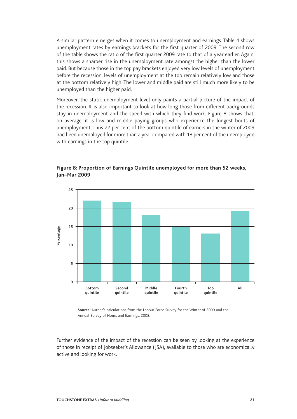A similar pattern emerges when it comes to unemployment and earnings. Table 4 shows unemployment rates by earnings brackets for the first quarter of 2009. The second row of the table shows the ratio of the first quarter 2009 rate to that of a year earlier. Again, this shows a sharper rise in the unemployment rate amongst the higher than the lower paid. But because those in the top pay brackets enjoyed very low levels of unemployment before the recession, levels of unemployment at the top remain relatively low and those at the bottom relatively high. The lower and middle paid are still much more likely to be unemployed than the higher paid.

Moreover, the static unemployment level only paints a partial picture of the impact of the recession. It is also important to look at how long those from different backgrounds stay in unemployment and the speed with which they find work. Figure 8 shows that, on average, it is low and middle paying groups who experience the longest bouts of unemployment. Thus 22 per cent of the bottom quintile of earners in the winter of 2009 had been unemployed for more than a year compared with 13 per cent of the unemployed with earnings in the top quintile.



**Figure 8: Proportion of Earnings Quintile unemployed for more than 52 weeks, Jan–Mar 2009** 

**Source:** Author's calculations from the Labour Force Survey for the Winter of 2009 and the Annual Survey of Hours and Earnings, 2008.

Further evidence of the impact of the recession can be seen by looking at the experience of those in receipt of Jobseeker's Allowance (JSA), available to those who are economically active and looking for work.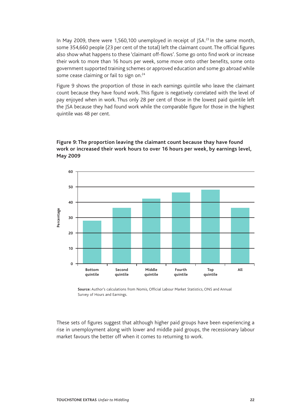In May 2009, there were 1,560,100 unemployed in receipt of JSA.<sup>23</sup> In the same month, some 354,660 people (23 per cent of the total) left the claimant count. The official figures also show what happens to these 'claimant off-flows'. Some go onto find work or increase their work to more than 16 hours per week, some move onto other benefits, some onto government supported training schemes or approved education and some go abroad while some cease claiming or fail to sign on.<sup>24</sup>

Figure 9 shows the proportion of those in each earnings quintile who leave the claimant count because they have found work. This figure is negatively correlated with the level of pay enjoyed when in work. Thus only 28 per cent of those in the lowest paid quintile left the JSA because they had found work while the comparable figure for those in the highest quintile was 48 per cent.

### **Figure 9: The proportion leaving the claimant count because thay have found work or increased their work hours to over 16 hours per week, by earnings level, May 2009**



**Source:** Author's calculations from Nomis, Official Labour Market Statistics, ONS and Annual Survey of Hours and Earnings.

These sets of figures suggest that although higher paid groups have been experiencing a rise in unemployment along with lower and middle paid groups, the recessionary labour market favours the better off when it comes to returning to work.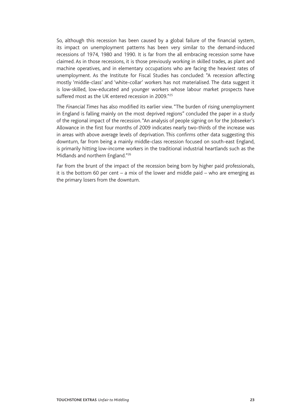So, although this recession has been caused by a global failure of the financial system, its impact on unemployment patterns has been very similar to the demand-induced recessions of 1974, 1980 and 1990. It is far from the all embracing recession some have claimed. As in those recessions, it is those previously working in skilled trades, as plant and machine operatives, and in elementary occupations who are facing the heaviest rates of unemployment. As the Institute for Fiscal Studies has concluded: "A recession affecting mostly 'middle-class' and 'white-collar' workers has not materialised. The data suggest it is low-skilled, low-educated and younger workers whose labour market prospects have suffered most as the UK entered recession in 2009."<sup>25</sup>

The *Financial Times* has also modified its earlier view. "The burden of rising unemployment in England is falling mainly on the most deprived regions" concluded the paper in a study of the regional impact of the recession. "An analysis of people signing on for the Jobseeker's Allowance in the first four months of 2009 indicates nearly two-thirds of the increase was in areas with above average levels of deprivation. This confirms other data suggesting this downturn, far from being a mainly middle-class recession focused on south-east England, is primarily hitting low-income workers in the traditional industrial heartlands such as the Midlands and northern England."26

Far from the brunt of the impact of the recession being born by higher paid professionals, it is the bottom 60 per cent – a mix of the lower and middle paid – who are emerging as the primary losers from the downturn.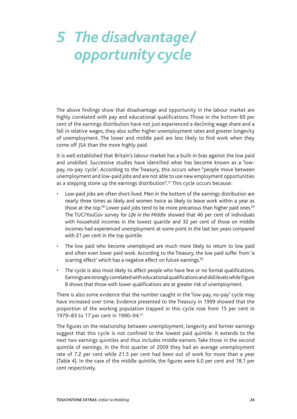# *5 The disadvantage/ opportunity cycle*

The above findings show that disadvantage and opportunity in the labour market are highly correlated with pay and educational qualifications. Those in the bottom 60 per cent of the earnings distribution have not just experienced a declining wage share and a fall in relative wages, they also suffer higher unemployment rates and greater longevity of unemployment. The lower and middle paid are less likely to find work when they come off JSA than the more highly paid.

It is well established that Britain's labour market has a built-in bias against the low paid and unskilled. Successive studies have identified what has become known as a 'lowpay, no-pay cycle'. According to the Treasury, this occurs when "people move between unemployment and low-paid jobs and are not able to use new employment opportunities as a stepping stone up the earnings distribution".<sup>27</sup> This cycle occurs because:

- Low-paid jobs are often short-lived. Men in the bottom of the earnings distribution are nearly three times as likely and women twice as likely to leave work within a year as those at the top.<sup>28</sup> Lower paid jobs tend to be more precarious than higher paid ones.<sup>29</sup> The TUC/YouGov survey for *Life in the Middle* showed that 46 per cent of individuals with household incomes in the lowest quartile and 32 per cent of those on middle incomes had experienced unemployment at some point in the last ten years compared with 21 per cent in the top quintile.
- The low paid who become unemployed are much more likely to return to low paid and often even lower paid work. According to the Treasury, the low paid suffer from 'a scarring effect' which has a negative effect on future earnings.<sup>30</sup>
- The cycle is also most likely to affect people who have few or no formal qualifications. Earnings are strongly correlated with educational qualifications and skill levels while Figure 8 shows that those with lower qualifications are at greater risk of unemployment.

There is also some evidence that the number caught in the 'low-pay, no-pay' cycle may have increased over time. Evidence presented to the Treasury in 1999 showed that the proportion of the working population trapped in this cycle rose from 15 per cent in 1979–83 to 17 per cent in 1990–94.<sup>31</sup>

The figures on the relationship between unemployment, longevity and former earnings suggest that this cycle is not confined to the lowest paid quintile. It extends to the next two earnings quintiles and thus includes middle earners. Take those in the second quintile of earnings. In the first quarter of 2009 they had an average unemployment rate of 7.2 per cent while 21.5 per cent had been out of work for more than a year (Table 4). In the case of the middle quintile, the figures were 6.0 per cent and 18.1 per cent respectively.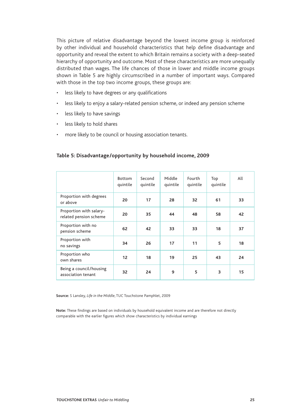This picture of relative disadvantage beyond the lowest income group is reinforced by other individual and household characteristics that help define disadvantage and opportunity and reveal the extent to which Britain remains a society with a deep-seated hierarchy of opportunity and outcome. Most of these characteristics are more unequally distributed than wages. The life chances of those in lower and middle income groups shown in Table 5 are highly circumscribed in a number of important ways. Compared with those in the top two income groups, these groups are:

- less likely to have degrees or any qualifications
- less likely to enjoy a salary-related pension scheme, or indeed any pension scheme
- less likely to have savings
- less likely to hold shares
- more likely to be council or housing association tenants.

#### **Table 5: Disadvantage/opportunity by household income, 2009**

|                                                   | <b>Bottom</b><br>quintile | Second<br>quintile | Middle<br>quintile | Fourth<br>quintile | Top<br>quintile | All |
|---------------------------------------------------|---------------------------|--------------------|--------------------|--------------------|-----------------|-----|
| Proportion with degrees<br>or above               | 20                        | 17                 | 28                 | 32                 | 61              | 33  |
| Proportion with salary-<br>related pension scheme | 20                        | 35                 | 44                 | 48                 | 58              | 42  |
| Proportion with no<br>pension scheme              | 62                        | 42                 | 33                 | 33                 | 18              | 37  |
| Proportion with<br>no savings                     | 34                        | 26                 | 17                 | 11                 | 5               | 18  |
| Proportion who<br>own shares                      | 12                        | 18                 | 19                 | 25                 | 43              | 24  |
| Being a council/housing<br>association tenant     | 32                        | 24                 | 9                  | 5                  | 3               | 15  |

**Source:** S Lansley, *Life in the Middle*, TUC Touchstone Pamphlet, 2009

**Note:** These findings are based on individuals by household equivalent income and are therefore not directly comparable with the earlier figures which show characteristics by individual earnings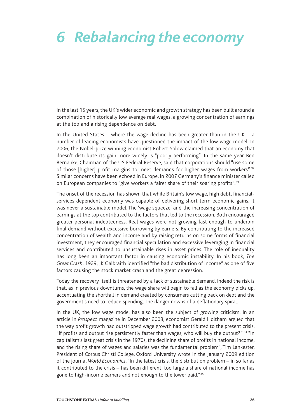### *6 Rebalancing the economy*

In the last 15 years, the UK's wider economic and growth strategy has been built around a combination of historically low average real wages, a growing concentration of earnings at the top and a rising dependence on debt.

In the United States – where the wage decline has been greater than in the UK – a number of leading economists have questioned the impact of the low wage model. In 2006, the Nobel-prize winning economist Robert Solow claimed that an economy that doesn't distribute its gain more widely is "poorly performing". In the same year Ben Bernanke, Chairman of the US Federal Reserve, said that corporations should "use some of those [higher] profit margins to meet demands for higher wages from workers".32 Similar concerns have been echoed in Europe. In 2007 Germany's finance minister called on European companies to "give workers a fairer share of their soaring profits".<sup>33</sup>

The onset of the recession has shown that while Britain's low wage, high debt, financialservices dependent economy was capable of delivering short term economic gains, it was never a sustainable model. The 'wage squeeze' and the increasing concentration of earnings at the top contributed to the factors that led to the recession. Both encouraged greater personal indebtedness. Real wages were not growing fast enough to underpin final demand without excessive borrowing by earners. By contributing to the increased concentration of wealth and income and by raising returns on some forms of financial investment, they encouraged financial speculation and excessive leveraging in financial services and contributed to unsustainable rises in asset prices. The role of inequality has long been an important factor in causing economic instability. In his book, *The Great Crash*, 1929, JK Galbraith identified "the bad distribution of income" as one of five factors causing the stock market crash and the great depression.

Today the recovery itself is threatened by a lack of sustainable demand. Indeed the risk is that, as in previous downturns, the wage share will begin to fall as the economy picks up, accentuating the shortfall in demand created by consumers cutting back on debt and the government's need to reduce spending. The danger now is of a deflationary spiral.

In the UK, the low wage model has also been the subject of growing criticism. In an article in *Prospect* magazine in December 2008, economist Gerald Holtham argued that the way profit growth had outstripped wage growth had contributed to the present crisis. "If profits and output rise persistently faster than wages, who will buy the output?".34 "In capitalism's last great crisis in the 1970s, the declining share of profits in national income, and the rising share of wages and salaries was the fundamental problem", Tim Lankester, President of Corpus Christi College, Oxford University wrote in the January 2009 edition of the journal *World Economics*. "In the latest crisis, the distribution problem – in so far as it contributed to the crisis – has been different: too large a share of national income has gone to high-income earners and not enough to the lower paid."35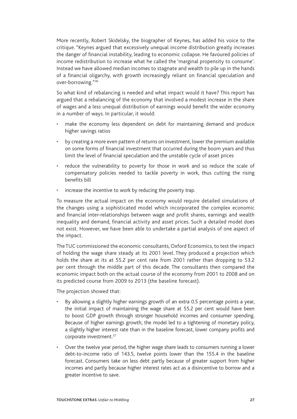More recently, Robert Skidelsky, the biographer of Keynes, has added his voice to the critique. "Keynes argued that excessively unequal income distribution greatly increases the danger of financial instability, leading to economic collapse. He favoured policies of income redistribution to increase what he called the 'marginal propensity to consume'. Instead we have allowed median incomes to stagnate and wealth to pile up in the hands of a financial oligarchy, with growth increasingly reliant on financial speculation and over-borrowing."36

So what kind of rebalancing is needed and what impact would it have? This report has argued that a rebalancing of the economy that involved a modest increase in the share of wages and a less unequal distribution of earnings would benefit the wider economy in a number of ways. In particular, it would:

- make the economy less dependent on debt for maintaining demand and produce higher savings ratios
- by creating a more even pattern of returns on investment, lower the premium available on some forms of financial investment that occurred during the boom years and thus limit the level of financial speculation and the unstable cycle of asset prices
- reduce the vulnerability to poverty for those in work and so reduce the scale of compensatory policies needed to tackle poverty in work, thus cutting the rising benefits bill
- increase the incentive to work by reducing the poverty trap.

To measure the actual impact on the economy would require detailed simulations of the changes using a sophisticated model which incorporated the complex economic and financial inter-relationships between wage and profit shares, earnings and wealth inequality and demand, financial activity and asset prices. Such a detailed model does not exist. However, we have been able to undertake a partial analysis of one aspect of the impact.

The TUC commissioned the economic consultants, Oxford Economics, to test the impact of holding the wage share steady at its 2001 level. They produced a projection which holds the share at its at 55.2 per cent rate from 2001 rather than dropping to 53.2 per cent through the middle part of this decade. The consultants then compared the economic impact both on the actual course of the economy from 2001 to 2008 and on its predicted course from 2009 to 2013 (the baseline forecast).

The projection showed that:

- By allowing a slightly higher earnings growth of an extra 0.5 percentage points a year, the initial impact of maintaining the wage share at 55.2 per cent would have been to boost GDP growth through stronger household incomes and consumer spending. Because of higher earnings growth, the model led to a tightening of monetary policy, a slightly higher interest rate than in the baseline forecast, lower company profits and corporate investment.37
- Over the twelve year period, the higher wage share leads to consumers running a lower debt-to-income ratio of 143.5, twelve points lower than the 155.4 in the baseline forecast. Consumers take on less debt partly because of greater support from higher incomes and partly because higher interest rates act as a disincentive to borrow and a greater incentive to save.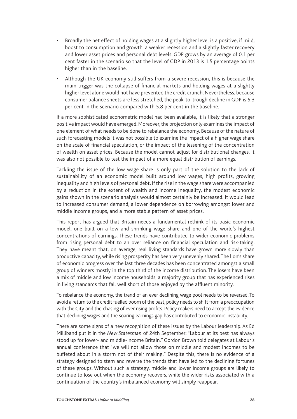- Broadly the net effect of holding wages at a slightly higher level is a positive, if mild, boost to consumption and growth, a weaker recession and a slightly faster recovery and lower asset prices and personal debt levels. GDP grows by an average of 0.1 per cent faster in the scenario so that the level of GDP in 2013 is 1.5 percentage points higher than in the baseline.
- Although the UK economy still suffers from a severe recession, this is because the main trigger was the collapse of financial markets and holding wages at a slightly higher level alone would not have prevented the credit crunch. Nevertheless, because consumer balance sheets are less stretched, the peak-to-trough decline in GDP is 5.3 per cent in the scenario compared with 5.8 per cent in the baseline.

If a more sophisticated econometric model had been available, it is likely that a stronger positive impact would have emerged. Moreover, the projection only examines the impact of one element of what needs to be done to rebalance the economy. Because of the nature of such forecasting models it was not possible to examine the impact of a higher wage share on the scale of financial speculation, or the impact of the lessening of the concentration of wealth on asset prices. Because the model cannot adjust for distributional changes, it was also not possible to test the impact of a more equal distribution of earnings.

Tackling the issue of the low wage share is only part of the solution to the lack of sustainability of an economic model built around low wages, high profits, growing inequality and high levels of personal debt. If the rise in the wage share were accompanied by a reduction in the extent of wealth and income inequality, the modest economic gains shown in the scenario analysis would almost certainly be increased. It would lead to increased consumer demand, a lower dependence on borrowing amongst lower and middle income groups, and a more stable pattern of asset prices.

This report has argued that Britain needs a fundamental rethink of its basic economic model, one built on a low and shrinking wage share and one of the world's highest concentrations of earnings. These trends have contributed to wider economic problems from rising personal debt to an over reliance on financial speculation and risk-taking. They have meant that, on average, real living standards have grown more slowly than productive capacity, while rising prosperity has been very unevenly shared. The lion's share of economic progress over the last three decades has been concentrated amongst a small group of winners mostly in the top third of the income distribution. The losers have been a mix of middle and low income households, a majority group that has experienced rises in living standards that fall well short of those enjoyed by the affluent minority.

To rebalance the economy, the trend of an ever declining wage pool needs to be reversed. To avoid a return to the credit fuelled boom of the past, policy needs to shift from a preoccupation with the City and the chasing of ever rising profits. Policy makers need to accept the evidence that declining wages and the soaring earnings gap has contributed to economic instability.

There are some signs of a new recognition of these issues by the Labour leadership. As Ed Milliband put it in the *New Statesman* of 24th September: "Labour at its best has always stood up for lower- and middle-income Britain." Gordon Brown told delegates at Labour's annual conference that "we will not allow those on middle and modest incomes to be buffeted about in a storm not of their making." Despite this, there is no evidence of a strategy designed to stem and reverse the trends that have led to the declining fortunes of these groups. Without such a strategy, middle and lower income groups are likely to continue to lose out when the economy recovers, while the wider risks associated with a continuation of the country's imbalanced economy will simply reappear.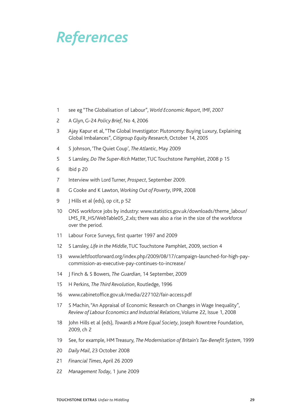### *References*

- see eg "The Globalisation of Labour", *World Economic Report*, IMF, 2007
- A Glyn, G-24 *Policy Brief*, No 4, 2006
- Ajay Kapur et al, "The Global Investigator: Plutonomy: Buying Luxury, Explaining Global Imbalances", *Citigroup Equity Research*, October 14, 2005
- S Johnson, 'The Quiet Coup', *The Atlantic*, May 2009
- S Lansley, *Do The Super-Rich Matter*, TUC Touchstone Pamphlet, 2008 p 15
- Ibid p 20
- Interview with Lord Turner, *Prospect*, September 2009.
- G Cooke and K Lawton, *Working Out of Poverty*, IPPR, 2008
- 9 J Hills et al (eds), op cit, p 52
- ONS workforce jobs by industry: www.statistics.gov.uk/downloads/theme\_labour/ LMS\_FR\_HS/WebTable05\_2.xls; there was also a rise in the size of the workforce over the period.
- Labour Force Surveys, first quarter 1997 and 2009
- S Lansley, *Life in the Middle*, TUC Touchstone Pamphlet, 2009, section 4
- www.leftfootforward.org/index.php/2009/08/17/campaign-launched-for-high-paycommission-as-executive-pay-continues-to-increase/
- J Finch & S Bowers, *The Guardian*, 14 September, 2009
- H Perkins, *The Third Revolution*, Routledge, 1996
- www.cabinetoffice.gov.uk/media/227102/fair-access.pdf
- S Machin, "An Appraisal of Economic Research on Changes in Wage Inequality", *Review of Labour Economics and Industrial Relations*, Volume 22, Issue 1, 2008
- John Hills et al (eds), *Towards a More Equal Society*, Joseph Rowntree Foundation, 2009, ch 2
- See, for example, HM Treasury, *The Modernisation of Britain's Tax-Benefit System*, 1999
- *Daily Mail*, 23 October 2008
- *Financial Times*, April 26 2009
- *Management Today*, 1 June 2009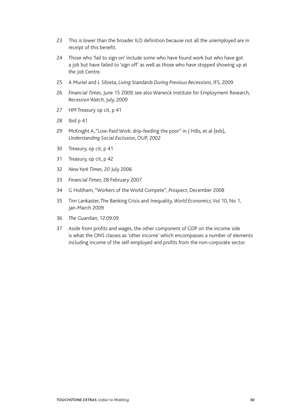- This is lower than the broader ILO definition because not all the unemployed are in receipt of this benefit.
- Those who 'fail to sign on' include some who have found work but who have got a job but have failed to 'sign off' as well as those who have stopped showing up at the Job Centre.
- A Muriel and L Sibieta, *Living Standards During Previous Recessions*, IFS, 2009
- *Financial Times*, June 15 2009; see also Warwick Institute for Employment Research, *Recession Watch*, July, 2009
- HM Treasury op cit, p 41
- Ibid p 41
- McKnight A, "Low-Paid Work: drip-feeding the poor" in J Hills, et al (eds), *Understanding Social Exclusion*, OUP, 2002
- Treasury, op cit, p 41
- Treasury, op cit, p 42
- *New York Times*, 20 July 2006
- *Financial Times*, 28 February 2007
- G Holtham, "Workers of the World Compete", *Prospect*, December 2008
- Tim Lankaster, The Banking Crisis and Inequality, *World Economics*, Vol 10, No 1, Jan-March 2009
- *The Guardian*, 12.09.09
- Aside from profits and wages, the other component of GDP on the income side is what the ONS classes as 'other income' which encompasses a number of elements including income of the self-employed and profits from the non-corporate sector.